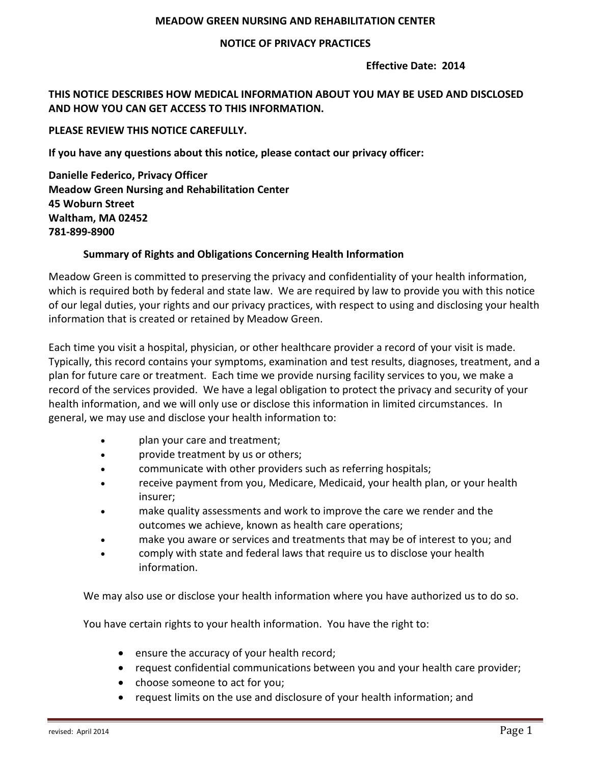### **MEADOW'GREEN'NURSING'AND'REHABILITATION'CENTER**

### **NOTICE'OF'PRIVACY'PRACTICES**

#### **'Fffective Date: 2014**

# **THIS'NOTICE'DESCRIBES'HOW'MEDICAL'INFORMATION'ABOUT'YOU'MAY'BE'USED'AND'DISCLOSED'** AND HOW YOU CAN GET ACCESS TO THIS INFORMATION.

### PLEASE REVIEW THIS NOTICE CAREFULLY.

If you have any questions about this notice, please contact our privacy officer:

**Danielle Federico, Privacy Officer Meadow'Green'Nursing'and'Rehabilitation'Center 45'Woburn'Street Waltham, MA 02452 781W899W8900**

### **Summary'of'Rights'and'Obligations'Concerning'Health'Information**

Meadow Green is committed to preserving the privacy and confidentiality of your health information, which is required both by federal and state law. We are required by law to provide you with this notice of our legal duties, your rights and our privacy practices, with respect to using and disclosing your health information that is created or retained by Meadow Green.

Each time you visit a hospital, physician, or other healthcare provider a record of your visit is made. Typically, this record contains your symptoms, examination and test results, diagnoses, treatment, and a plan for future care or treatment. Each time we provide nursing facility services to you, we make a record of the services provided. We have a legal obligation to protect the privacy and security of your health information, and we will only use or disclose this information in limited circumstances. In general, we may use and disclose your health information to:

- plan your care and treatment;
- provide treatment by us or others;
- communicate with other providers such as referring hospitals;
- receive payment from you, Medicare, Medicaid, your health plan, or your health insurer;
- make quality assessments and work to improve the care we render and the outcomes we achieve, known as health care operations;
- make you aware or services and treatments that may be of interest to you; and
- comply with state and federal laws that require us to disclose your health information.

We may also use or disclose your health information where you have authorized us to do so.

You have certain rights to your health information. You have the right to:

- $\bullet$  ensure the accuracy of your health record;
- request confidential communications between you and your health care provider;
- choose someone to act for you;
- request limits on the use and disclosure of your health information; and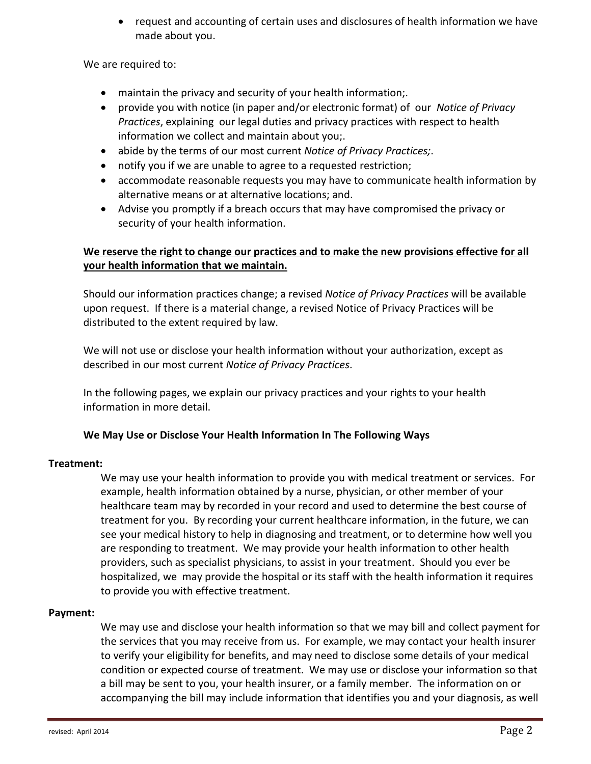• request and accounting of certain uses and disclosures of health information we have made about you.

We are required to:

- $\bullet$  maintain the privacy and security of your health information;.
- provide you with notice (in paper and/or electronic format) of our *Notice of Privacy Practices*, explaining our legal duties and privacy practices with respect to health information we collect and maintain about you;.
- **•** abide by the terms of our most current *Notice of Privacy Practices;*.
- notify you if we are unable to agree to a requested restriction;
- accommodate reasonable requests you may have to communicate health information by alternative means or at alternative locations; and.
- Advise you promptly if a breach occurs that may have compromised the privacy or security of your health information.

# We reserve the right to change our practices and to make the new provisions effective for all **your'health'information'that'we'maintain.**

Should our information practices change; a revised *Notice of Privacy Practices* will be available upon request. If there is a material change, a revised Notice of Privacy Practices will be distributed to the extent required by law.

We will not use or disclose your health information without your authorization, except as described in our most current *Notice of Privacy Practices*.

In the following pages, we explain our privacy practices and your rights to your health information in more detail.

# We May Use or Disclose Your Health Information In The Following Ways

## **Treatment:**

We may use your health information to provide you with medical treatment or services. For example, health information obtained by a nurse, physician, or other member of your healthcare team may by recorded in your record and used to determine the best course of treatment for you. By recording your current healthcare information, in the future, we can see your medical history to help in diagnosing and treatment, or to determine how well you are responding to treatment. We may provide your health information to other health providers, such as specialist physicians, to assist in your treatment. Should you ever be hospitalized, we may provide the hospital or its staff with the health information it requires to provide you with effective treatment.

## Payment:

We may use and disclose your health information so that we may bill and collect payment for the services that you may receive from us. For example, we may contact your health insurer to verify your eligibility for benefits, and may need to disclose some details of your medical condition or expected course of treatment. We may use or disclose your information so that a bill may be sent to you, your health insurer, or a family member. The information on or accompanying the bill may include information that identifies you and your diagnosis, as well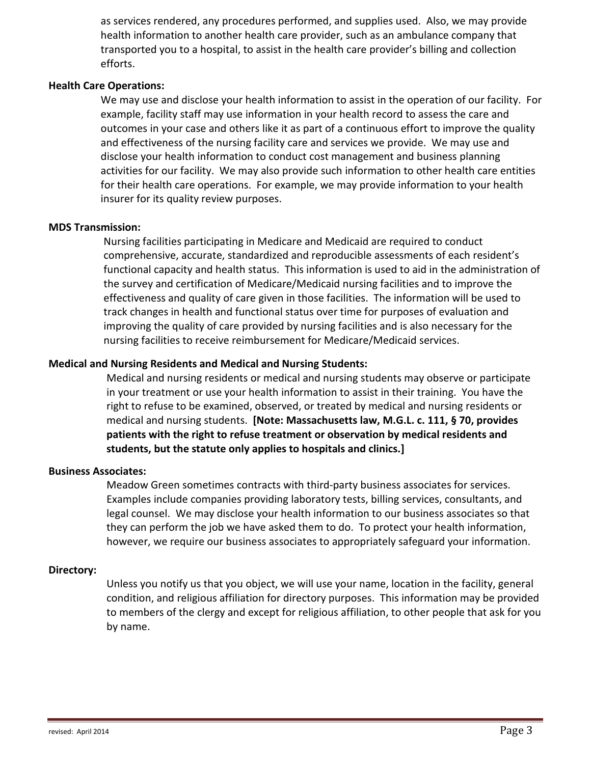as services rendered, any procedures performed, and supplies used. Also, we may provide health information to another health care provider, such as an ambulance company that transported you to a hospital, to assist in the health care provider's billing and collection efforts.

### **Health Care Operations:**

We may use and disclose your health information to assist in the operation of our facility. For example, facility staff may use information in your health record to assess the care and outcomes in your case and others like it as part of a continuous effort to improve the quality and effectiveness of the nursing facility care and services we provide. We may use and disclose your health information to conduct cost management and business planning activities for our facility. We may also provide such information to other health care entities for their health care operations. For example, we may provide information to your health insurer for its quality review purposes.

## **MD^'Transmission:**

Nursing facilities participating in Medicare and Medicaid are required to conduct comprehensive, accurate, standardized and reproducible assessments of each resident's functional capacity and health status. This information is used to aid in the administration of the survey and certification of Medicare/Medicaid nursing facilities and to improve the effectiveness and quality of care given in those facilities. The information will be used to track changes in health and functional status over time for purposes of evaluation and improving the quality of care provided by nursing facilities and is also necessary for the nursing facilities to receive reimbursement for Medicare/Medicaid services.

## **Medical'and'Nursing'Residents'and'Medical'and'Nursing'Students:**

Medical and nursing residents or medical and nursing students may observe or participate in your treatment or use your health information to assist in their training. You have the right to refuse to be examined, observed, or treated by medical and nursing residents or medical and nursing students. [Note: Massachusetts law, M.G.L. c. 111, § 70, provides patients with the right to refuse treatment or observation by medical residents and students, but the statute only applies to hospitals and clinics.]

## **Business'Associates:**

Meadow Green sometimes contracts with third-party business associates for services. Examples include companies providing laboratory tests, billing services, consultants, and legal counsel. We may disclose your health information to our business associates so that they can perform the job we have asked them to do. To protect your health information, however, we require our business associates to appropriately safeguard your information.

## **Directory:**

Unless you notify us that you object, we will use your name, location in the facility, general condition, and religious affiliation for directory purposes. This information may be provided to members of the clergy and except for religious affiliation, to other people that ask for you by name.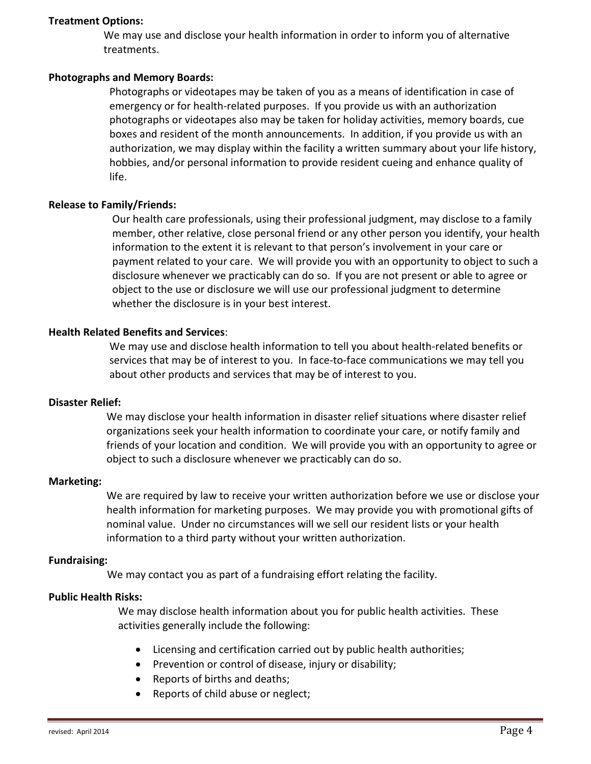### **Treatment Options:**

We may use and disclose your health information in order to inform you of alternative treatments.

## **Photographs'and'Memory'Boards:**

Photographs or videotapes may be taken of you as a means of identification in case of emergency or for health-related purposes. If you provide us with an authorization photographs or videotapes also may be taken for holiday activities, memory boards, cue boxes and resident of the month announcements. In addition, if you provide us with an authorization, we may display within the facility a written summary about your life history, hobbies, and/or personal information to provide resident cueing and enhance quality of life.

#### **Release to Family/Friends:**

Our health care professionals, using their professional judgment, may disclose to a family member, other relative, close personal friend or any other person you identify, your health information to the extent it is relevant to that person's involvement in your care or payment related to your care. We will provide you with an opportunity to object to such a disclosure whenever we practicably can do so. If you are not present or able to agree or object to the use or disclosure we will use our professional judgment to determine whether the disclosure is in your best interest.

### **Health Related Benefits and Services:**

We may use and disclose health information to tell you about health-related benefits or services that may be of interest to you. In face-to-face communications we may tell you about other products and services that may be of interest to you.

#### **Disaster Relief:**

We may disclose your health information in disaster relief situations where disaster relief organizations seek your health information to coordinate your care, or notify family and friends of your location and condition. We will provide you with an opportunity to agree or object to such a disclosure whenever we practicably can do so.

#### **Marketing:**

We are required by law to receive your written authorization before we use or disclose your health information for marketing purposes. We may provide you with promotional gifts of nominal value. Under no circumstances will we sell our resident lists or your health information to a third party without your written authorization.

#### **Fundraising:**

We may contact you as part of a fundraising effort relating the facility.

### **Public Health Risks:**

We may disclose health information about you for public health activities. These activities generally include the following:

- Licensing and certification carried out by public health authorities;
- Prevention or control of disease, injury or disability;
- Reports of births and deaths;
- Reports of child abuse or neglect;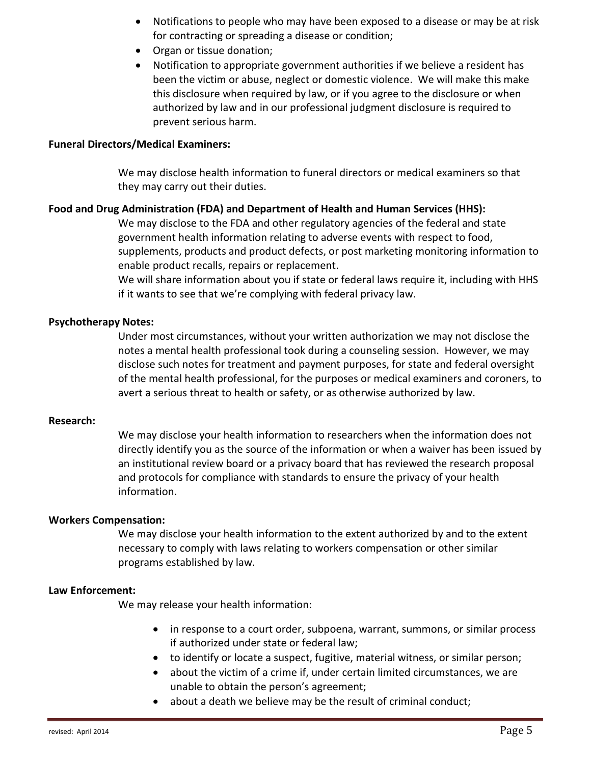- Notifications to people who may have been exposed to a disease or may be at risk for contracting or spreading a disease or condition;
- Organ or tissue donation;
- Notification to appropriate government authorities if we believe a resident has been the victim or abuse, neglect or domestic violence. We will make this make this disclosure when required by law, or if you agree to the disclosure or when authorized by law and in our professional judgment disclosure is required to prevent serious harm.

### **Funeral'Directors/Medical'Examiners:'**

We may disclose health information to funeral directors or medical examiners so that they may carry out their duties.

## Food and Drug Administration (FDA) and Department of Health and Human Services (HHS):

We may disclose to the FDA and other regulatory agencies of the federal and state government health information relating to adverse events with respect to food, supplements, products and product defects, or post marketing monitoring information to enable product recalls, repairs or replacement.

We will share information about you if state or federal laws require it, including with HHS if it wants to see that we're complying with federal privacy law.

## **Psychotherapy Notes:**

Under most circumstances, without your written authorization we may not disclose the notes a mental health professional took during a counseling session. However, we may disclose such notes for treatment and payment purposes, for state and federal oversight of the mental health professional, for the purposes or medical examiners and coroners, to avert a serious threat to health or safety, or as otherwise authorized by law.

#### **Research:**

We may disclose your health information to researchers when the information does not directly identify you as the source of the information or when a waiver has been issued by an institutional review board or a privacy board that has reviewed the research proposal and protocols for compliance with standards to ensure the privacy of your health information.

## **Workers'Compensation:**

We may disclose your health information to the extent authorized by and to the extent necessary to comply with laws relating to workers compensation or other similar programs established by law.

#### **Law'Enforcement:**

We may release your health information:

- $\bullet$  in response to a court order, subpoena, warrant, summons, or similar process if authorized under state or federal law;
- to identify or locate a suspect, fugitive, material witness, or similar person;
- $\bullet$  about the victim of a crime if, under certain limited circumstances, we are unable to obtain the person's agreement;
- $\bullet$  about a death we believe may be the result of criminal conduct;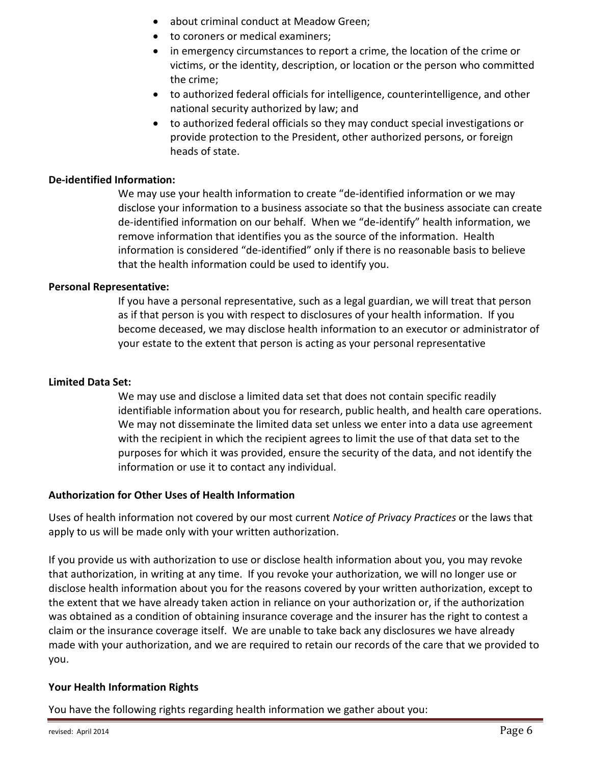- about criminal conduct at Meadow Green;
- to coroners or medical examiners;
- $\bullet$  in emergency circumstances to report a crime, the location of the crime or victims, or the identity, description, or location or the person who committed the crime;
- $\bullet$  to authorized federal officials for intelligence, counterintelligence, and other national security authorized by law; and
- to authorized federal officials so they may conduct special investigations or provide protection to the President, other authorized persons, or foreign heads of state.

## **De-identified Information:**

We may use your health information to create "de-identified information or we may disclose your information to a business associate so that the business associate can create de-identified information on our behalf. When we "de-identify" health information, we remove information that identifies you as the source of the information. Health information is considered "de-identified" only if there is no reasonable basis to believe that the health information could be used to identify you.

## **Personal Representative:**

If you have a personal representative, such as a legal guardian, we will treat that person as if that person is you with respect to disclosures of your health information. If you become deceased, we may disclose health information to an executor or administrator of your estate to the extent that person is acting as your personal representative

# Limited Data Set:

We may use and disclose a limited data set that does not contain specific readily identifiable information about you for research, public health, and health care operations. We may not disseminate the limited data set unless we enter into a data use agreement with the recipient in which the recipient agrees to limit the use of that data set to the purposes for which it was provided, ensure the security of the data, and not identify the information or use it to contact any individual.

# **Authorization'for'Other'Uses'of'Health'Information**

Uses of health information not covered by our most current *Notice of Privacy Practices* or the laws that apply to us will be made only with your written authorization.

If you provide us with authorization to use or disclose health information about you, you may revoke that authorization, in writing at any time. If you revoke your authorization, we will no longer use or disclose health information about you for the reasons covered by your written authorization, except to the extent that we have already taken action in reliance on your authorization or, if the authorization was obtained as a condition of obtaining insurance coverage and the insurer has the right to contest a claim or the insurance coverage itself. We are unable to take back any disclosures we have already made with your authorization, and we are required to retain our records of the care that we provided to you.

# Your Health Information Rights

You have the following rights regarding health information we gather about you: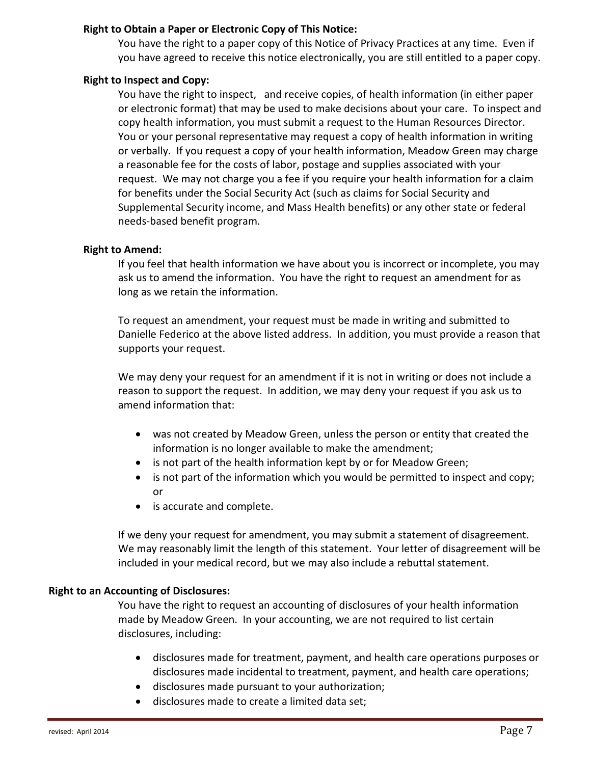## Right to Obtain a Paper or Electronic Copy of This Notice:

You have the right to a paper copy of this Notice of Privacy Practices at any time. Even if you have agreed to receive this notice electronically, you are still entitled to a paper copy.

## **Right to Inspect and Copy:**

You have the right to inspect, and receive copies, of health information (in either paper or electronic format) that may be used to make decisions about your care. To inspect and copy health information, you must submit a request to the Human Resources Director. You or your personal representative may request a copy of health information in writing or verbally. If you request a copy of your health information, Meadow Green may charge a reasonable fee for the costs of labor, postage and supplies associated with your request. We may not charge you a fee if you require your health information for a claim for benefits under the Social Security Act (such as claims for Social Security and Supplemental Security income, and Mass Health benefits) or any other state or federal needs-based benefit program.

## **Right to Amend:**

If you feel that health information we have about you is incorrect or incomplete, you may ask us to amend the information. You have the right to request an amendment for as long as we retain the information.

To request an amendment, your request must be made in writing and submitted to Danielle Federico at the above listed address. In addition, you must provide a reason that supports your request.

We may deny your request for an amendment if it is not in writing or does not include a reason to support the request. In addition, we may deny your request if you ask us to amend information that:

- was not created by Meadow Green, unless the person or entity that created the information is no longer available to make the amendment;
- $\bullet$  is not part of the health information kept by or for Meadow Green;
- $\bullet$  is not part of the information which you would be permitted to inspect and copy; or
- $\bullet$  is accurate and complete.

If we deny your request for amendment, you may submit a statement of disagreement. We may reasonably limit the length of this statement. Your letter of disagreement will be included in your medical record, but we may also include a rebuttal statement.

# **Right to an Accounting of Disclosures:**

You have the right to request an accounting of disclosures of your health information made by Meadow Green. In your accounting, we are not required to list certain disclosures, including:

- disclosures made for treatment, payment, and health care operations purposes or disclosures made incidental to treatment, payment, and health care operations;
- disclosures made pursuant to your authorization;
- $\bullet$  disclosures made to create a limited data set;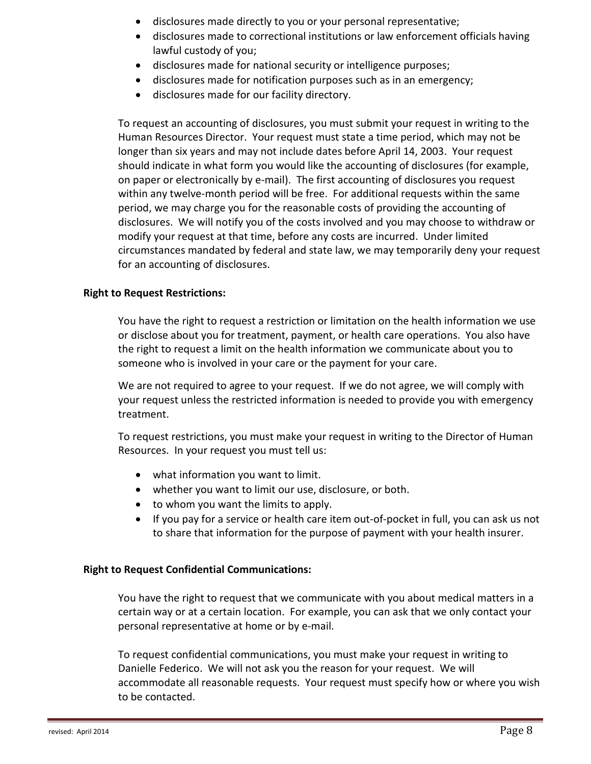- disclosures made directly to you or your personal representative;
- disclosures made to correctional institutions or law enforcement officials having lawful custody of you;
- disclosures made for national security or intelligence purposes;
- disclosures made for notification purposes such as in an emergency;
- disclosures made for our facility directory.

To request an accounting of disclosures, you must submit your request in writing to the Human Resources Director. Your request must state a time period, which may not be longer than six years and may not include dates before April 14, 2003. Your request should indicate in what form you would like the accounting of disclosures (for example, on paper or electronically by e-mail). The first accounting of disclosures you request within any twelve-month period will be free. For additional requests within the same period, we may charge you for the reasonable costs of providing the accounting of disclosures. We will notify you of the costs involved and you may choose to withdraw or modify your request at that time, before any costs are incurred. Under limited circumstances mandated by federal and state law, we may temporarily deny your request for an accounting of disclosures.

## **Right to Request Restrictions:**

You have the right to request a restriction or limitation on the health information we use or disclose about you for treatment, payment, or health care operations. You also have the right to request a limit on the health information we communicate about you to someone who is involved in your care or the payment for your care.

We are not required to agree to your request. If we do not agree, we will comply with your request unless the restricted information is needed to provide you with emergency treatment.

To request restrictions, you must make your request in writing to the Director of Human Resources. In your request you must tell us:

- $\bullet$  what information you want to limit.
- whether you want to limit our use, disclosure, or both.
- $\bullet$  to whom you want the limits to apply.
- If you pay for a service or health care item out-of-pocket in full, you can ask us not to share that information for the purpose of payment with your health insurer.

## **Right to Request Confidential Communications:**

You have the right to request that we communicate with you about medical matters in a certain way or at a certain location. For example, you can ask that we only contact your personal representative at home or by e-mail.

To request confidential communications, you must make your request in writing to Danielle Federico. We will not ask you the reason for your request. We will accommodate all reasonable requests. Your request must specify how or where you wish to be contacted.